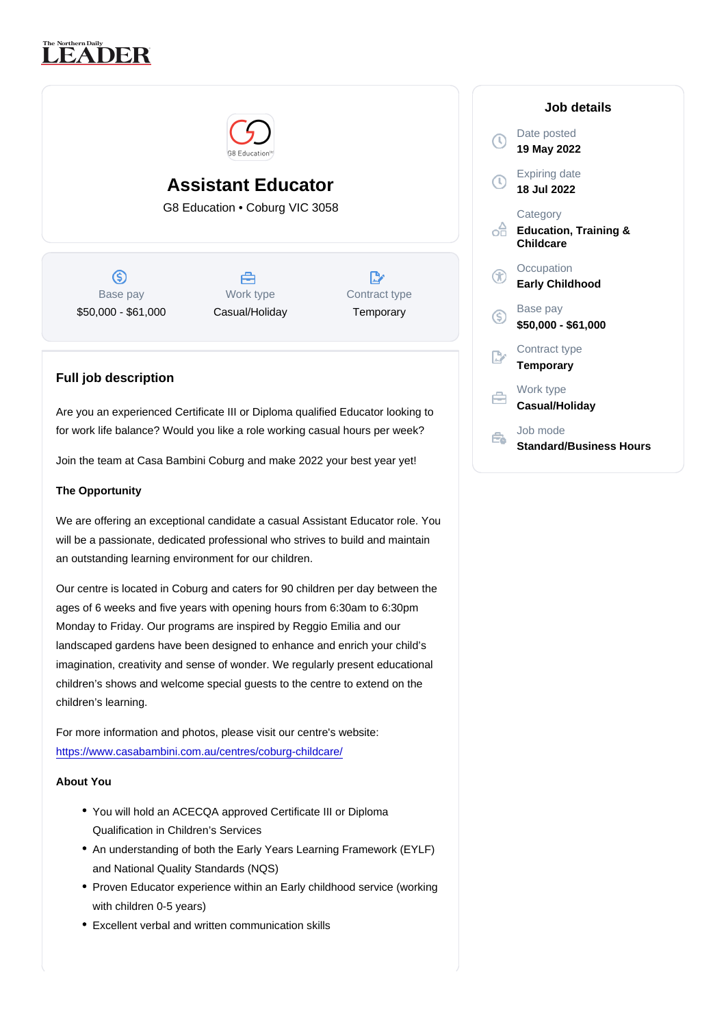# Assistant Educator

G8 Education • Coburg VIC 3058

Base pay \$50,000 - \$61,000

Work type Casual/Holiday Contract type **Temporary** 

# Full job description

Are you an experienced Certificate III or Diploma qualified Educator looking to for work life balance? Would you like a role working casual hours per week?

Join the team at Casa Bambini Coburg and make 2022 your best year yet!

#### The Opportunity

We are offering an exceptional candidate a casual Assistant Educator role. You will be a passionate, dedicated professional who strives to build and maintain an outstanding learning environment for our children.

Our centre is located in Coburg and caters for 90 children per day between the ages of 6 weeks and five years with opening hours from 6:30am to 6:30pm Monday to Friday. Our programs are inspired by Reggio Emilia and our landscaped gardens have been designed to enhance and enrich your child's imagination, creativity and sense of wonder. We regularly present educational children's shows and welcome special guests to the centre to extend on the children's learning.

For more information and photos, please visit our centre's website: <https://www.casabambini.com.au/centres/coburg-childcare/>

About You

- You will hold an ACECQA approved Certificate III or Diploma Qualification in Children's Services
- An understanding of both the Early Years Learning Framework (EYLF) and National Quality Standards (NQS)
- Proven Educator experience within an Early childhood service (working with children 0-5 years)
- Excellent verbal and written communication skills

# Job details

Date posted 19 May 2022

Expiring date 18 Jul 2022

**Category** Education, Training & **Childcare** 

**Occupation** Early Childhood

Base pay \$50,000 - \$61,000

Contract type Temporary

Work type Casual/Holiday

Job mode Standard/Business Hours